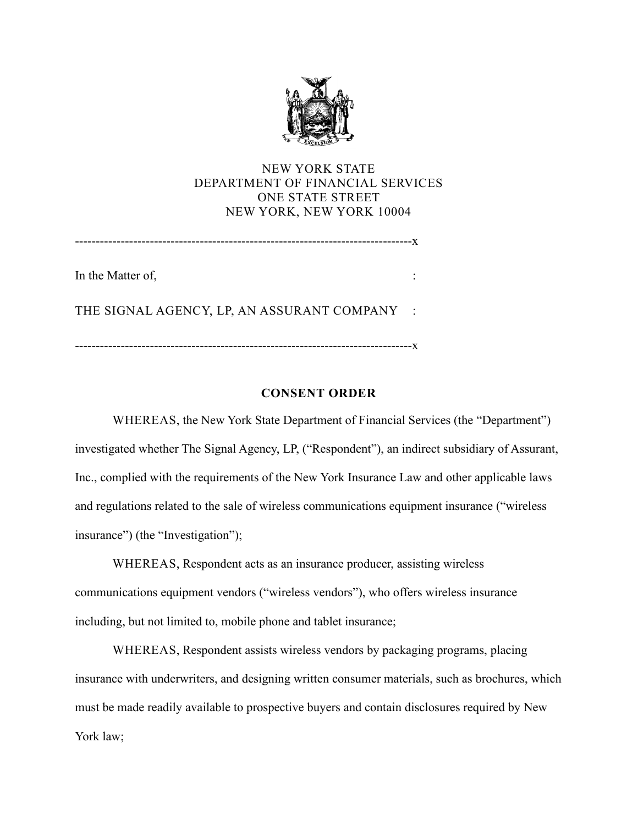

# NEW YORK STATE DEPARTMENT OF FINANCIAL SERVICES ONE STATE STREET NEW YORK, NEW YORK 10004

In the Matter of,  $\blacksquare$ 

THE SIGNAL AGENCY, LP, AN ASSURANT COMPANY :

---------------------------------------------------------------------------------x

# **CONSENT ORDER**

 investigated whether The Signal Agency, LP, ("Respondent"), an indirect subsidiary of Assurant, WHEREAS, the New York State Department of Financial Services (the "Department") Inc., complied with the requirements of the New York Insurance Law and other applicable laws and regulations related to the sale of wireless communications equipment insurance ("wireless insurance") (the "Investigation");

 WHEREAS, Respondent acts as an insurance producer, assisting wireless including, but not limited to, mobile phone and tablet insurance; communications equipment vendors ("wireless vendors"), who offers wireless insurance

WHEREAS, Respondent assists wireless vendors by packaging programs, placing insurance with underwriters, and designing written consumer materials, such as brochures, which must be made readily available to prospective buyers and contain disclosures required by New York law;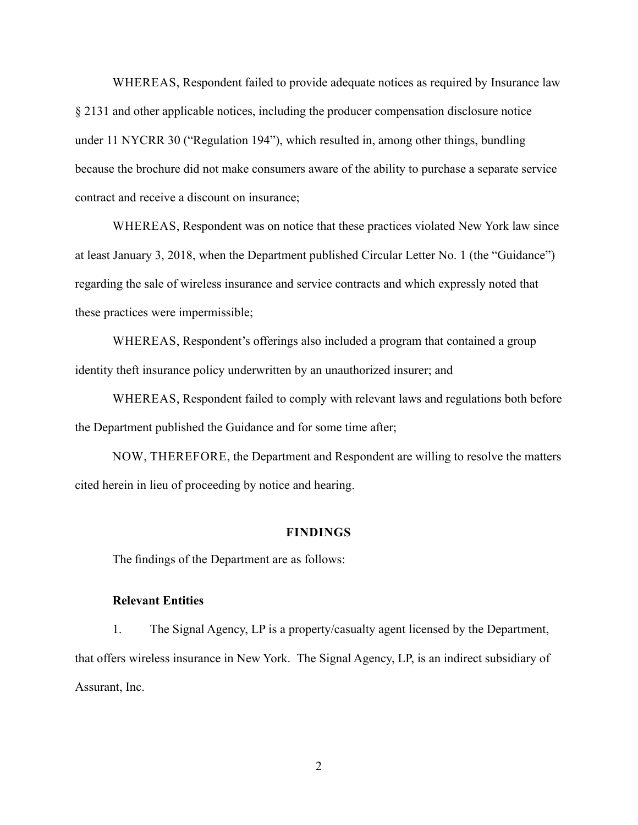WHEREAS, Respondent failed to provide adequate notices as required by Insurance law § 2131 and other applicable notices, including the producer compensation disclosure notice under 11 NYCRR 30 ("Regulation 194"), which resulted in, among other things, bundling because the brochure did not make consumers aware of the ability to purchase a separate service contract and receive a discount on insurance;

 at least January 3, 2018, when the Department published Circular Letter No. 1 (the "Guidance") regarding the sale of wireless insurance and service contracts and which expressly noted that WHEREAS, Respondent was on notice that these practices violated New York law since these practices were impermissible;

 identity theft insurance policy underwritten by an unauthorized insurer; and WHEREAS, Respondent's offerings also included a program that contained a group

 WHEREAS, Respondent failed to comply with relevant laws and regulations both before the Department published the Guidance and for some time after;

 cited herein in lieu of proceeding by notice and hearing. NOW, THEREFORE, the Department and Respondent are willing to resolve the matters

### **FINDINGS**

The findings of the Department are as follows:

#### **Relevant Entities**

 1. The Signal Agency, LP is a property/casualty agent licensed by the Department, that offers wireless insurance in New York. The Signal Agency, LP, is an indirect subsidiary of Assurant, Inc.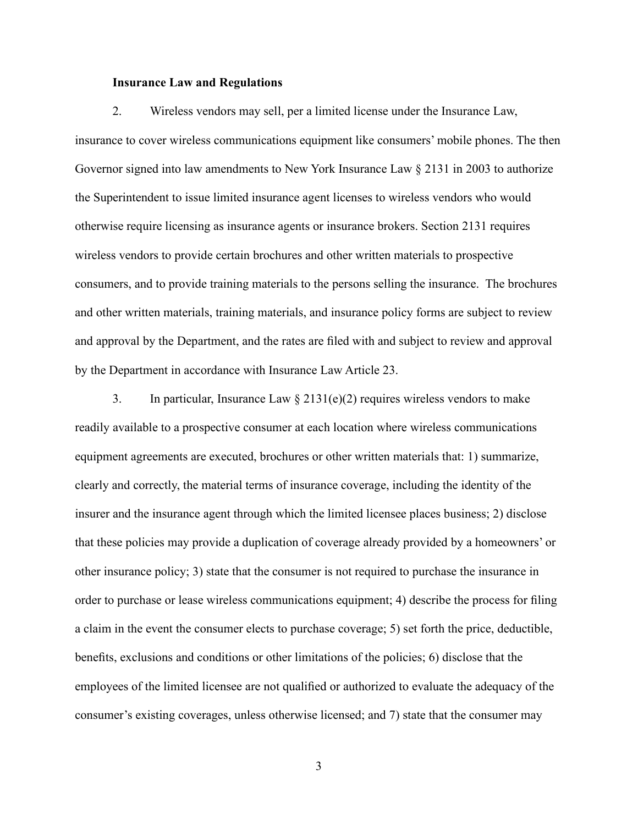#### **Insurance Law and Regulations**

 the Superintendent to issue limited insurance agent licenses to wireless vendors who would otherwise require licensing as insurance agents or insurance brokers. Section 2131 requires and other written materials, training materials, and insurance policy forms are subject to review 2. Wireless vendors may sell, per a limited license under the Insurance Law, insurance to cover wireless communications equipment like consumers' mobile phones. The then Governor signed into law amendments to New York Insurance Law § 2131 in 2003 to authorize wireless vendors to provide certain brochures and other written materials to prospective consumers, and to provide training materials to the persons selling the insurance. The brochures and approval by the Department, and the rates are filed with and subject to review and approval by the Department in accordance with Insurance Law Article 23.

3. In particular, Insurance Law  $\S 2131(e)(2)$  requires wireless vendors to make employees of the limited licensee are not qualified or authorized to evaluate the adequacy of the readily available to a prospective consumer at each location where wireless communications equipment agreements are executed, brochures or other written materials that: 1) summarize, clearly and correctly, the material terms of insurance coverage, including the identity of the insurer and the insurance agent through which the limited licensee places business; 2) disclose that these policies may provide a duplication of coverage already provided by a homeowners' or other insurance policy; 3) state that the consumer is not required to purchase the insurance in order to purchase or lease wireless communications equipment; 4) describe the process for filing a claim in the event the consumer elects to purchase coverage; 5) set forth the price, deductible, benefits, exclusions and conditions or other limitations of the policies; 6) disclose that the consumer's existing coverages, unless otherwise licensed; and 7) state that the consumer may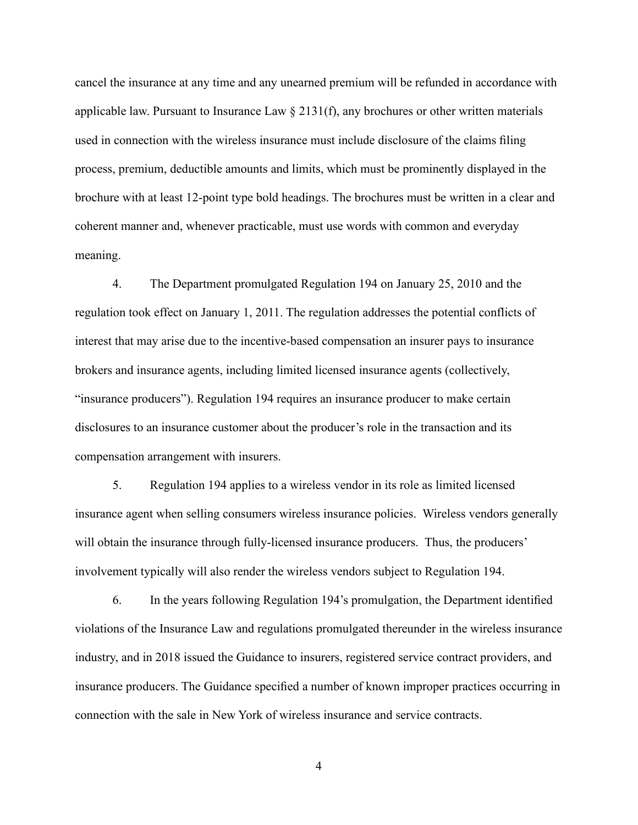applicable law. Pursuant to Insurance Law § 2131(f), any brochures or other written materials cancel the insurance at any time and any unearned premium will be refunded in accordance with used in connection with the wireless insurance must include disclosure of the claims filing process, premium, deductible amounts and limits, which must be prominently displayed in the brochure with at least 12-point type bold headings. The brochures must be written in a clear and coherent manner and, whenever practicable, must use words with common and everyday meaning.

 4. The Department promulgated Regulation 194 on January 25, 2010 and the compensation arrangement with insurers. regulation took effect on January 1, 2011. The regulation addresses the potential conflicts of interest that may arise due to the incentive-based compensation an insurer pays to insurance brokers and insurance agents, including limited licensed insurance agents (collectively, "insurance producers"). Regulation 194 requires an insurance producer to make certain disclosures to an insurance customer about the producer's role in the transaction and its

will obtain the insurance through fully-licensed insurance producers. Thus, the producers' 5. Regulation 194 applies to a wireless vendor in its role as limited licensed insurance agent when selling consumers wireless insurance policies. Wireless vendors generally involvement typically will also render the wireless vendors subject to Regulation 194.

 violations of the Insurance Law and regulations promulgated thereunder in the wireless insurance industry, and in 2018 issued the Guidance to insurers, registered service contract providers, and insurance producers. The Guidance specified a number of known improper practices occurring in connection with the sale in New York of wireless insurance and service contracts.<br>4 6. In the years following Regulation 194's promulgation, the Department identified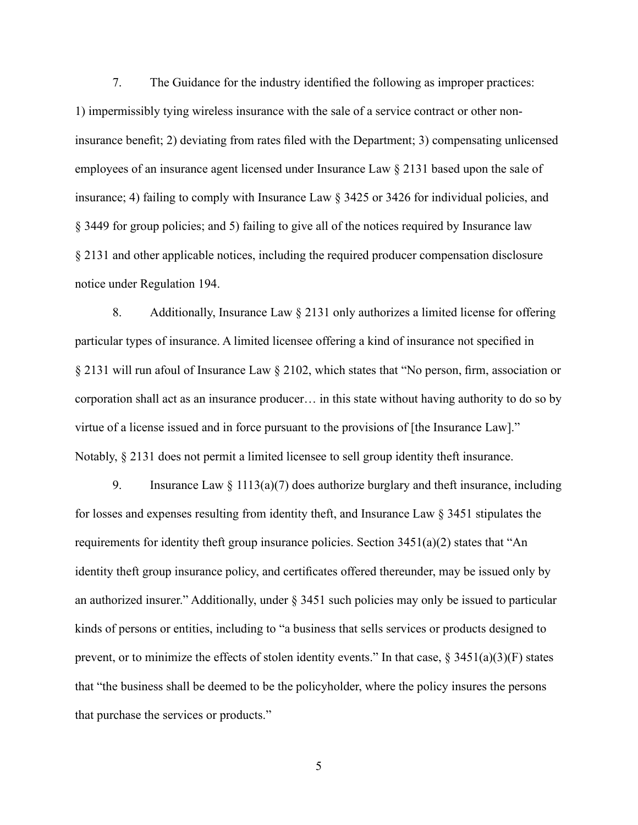insurance benefit; 2) deviating from rates filed with the Department; 3) compensating unlicensed § 3449 for group policies; and 5) failing to give all of the notices required by Insurance law 7. The Guidance for the industry identified the following as improper practices: 1) impermissibly tying wireless insurance with the sale of a service contract or other nonemployees of an insurance agent licensed under Insurance Law § 2131 based upon the sale of insurance; 4) failing to comply with Insurance Law § 3425 or 3426 for individual policies, and § 2131 and other applicable notices, including the required producer compensation disclosure notice under Regulation 194.

 8. Additionally, Insurance Law § 2131 only authorizes a limited license for offering virtue of a license issued and in force pursuant to the provisions of [the Insurance Law]." Notably, § 2131 does not permit a limited licensee to sell group identity theft insurance. particular types of insurance. A limited licensee offering a kind of insurance not specified in § 2131 will run afoul of Insurance Law § 2102, which states that "No person, firm, association or corporation shall act as an insurance producer… in this state without having authority to do so by

9. Insurance Law  $\S 1113(a)(7)$  does authorize burglary and theft insurance, including requirements for identity theft group insurance policies. Section 3451(a)(2) states that "An an authorized insurer." Additionally, under § 3451 such policies may only be issued to particular for losses and expenses resulting from identity theft, and Insurance Law § 3451 stipulates the identity theft group insurance policy, and certificates offered thereunder, may be issued only by kinds of persons or entities, including to "a business that sells services or products designed to prevent, or to minimize the effects of stolen identity events." In that case,  $\S 3451(a)(3)(F)$  states that "the business shall be deemed to be the policyholder, where the policy insures the persons that purchase the services or products."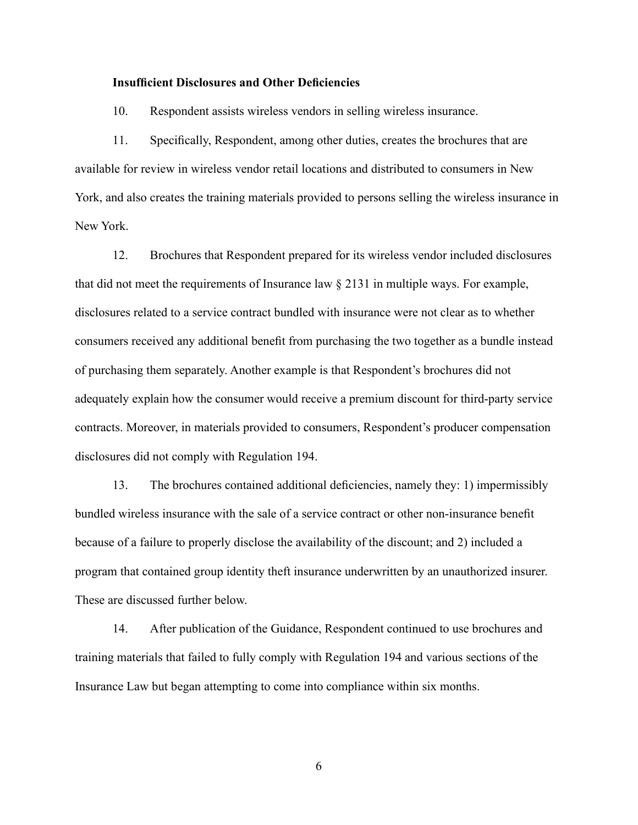#### **Insufficient Disclosures and Other Deficiencies**

10. Respondent assists wireless vendors in selling wireless insurance.

 11. Specifically, Respondent, among other duties, creates the brochures that are available for review in wireless vendor retail locations and distributed to consumers in New York, and also creates the training materials provided to persons selling the wireless insurance in New York.

 12. Brochures that Respondent prepared for its wireless vendor included disclosures that did not meet the requirements of Insurance law § 2131 in multiple ways. For example, disclosures related to a service contract bundled with insurance were not clear as to whether consumers received any additional benefit from purchasing the two together as a bundle instead of purchasing them separately. Another example is that Respondent's brochures did not adequately explain how the consumer would receive a premium discount for third-party service contracts. Moreover, in materials provided to consumers, Respondent's producer compensation disclosures did not comply with Regulation 194.

 13. The brochures contained additional deficiencies, namely they: 1) impermissibly because of a failure to properly disclose the availability of the discount; and 2) included a program that contained group identity theft insurance underwritten by an unauthorized insurer. bundled wireless insurance with the sale of a service contract or other non-insurance benefit These are discussed further below.

 Insurance Law but began attempting to come into compliance within six months. 14. After publication of the Guidance, Respondent continued to use brochures and training materials that failed to fully comply with Regulation 194 and various sections of the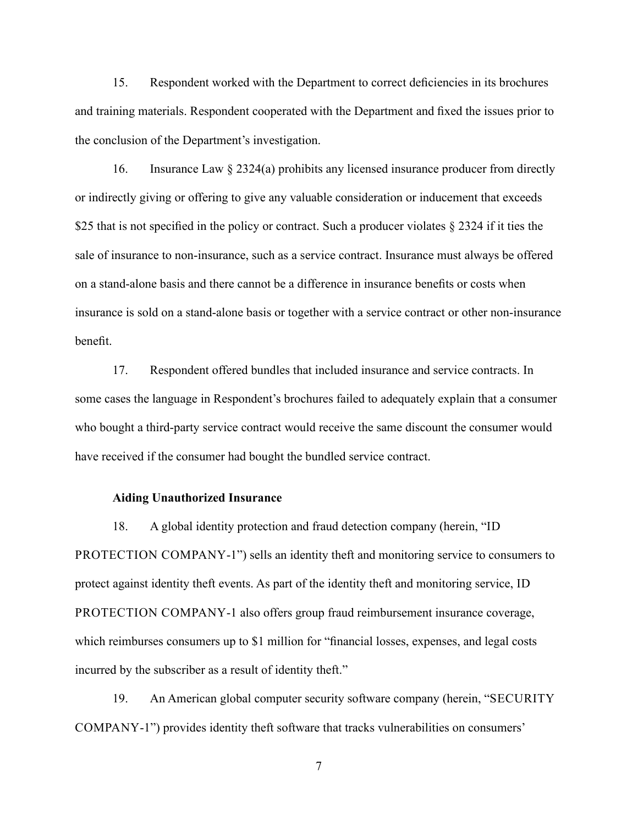15. Respondent worked with the Department to correct deficiencies in its brochures and training materials. Respondent cooperated with the Department and fixed the issues prior to the conclusion of the Department's investigation.

16. Insurance Law § 2324(a) prohibits any licensed insurance producer from directly or indirectly giving or offering to give any valuable consideration or inducement that exceeds \$25 that is not specified in the policy or contract. Such a producer violates § 2324 if it ties the sale of insurance to non-insurance, such as a service contract. Insurance must always be offered on a stand-alone basis and there cannot be a difference in insurance benefits or costs when insurance is sold on a stand-alone basis or together with a service contract or other non-insurance benefit.

 17. Respondent offered bundles that included insurance and service contracts. In some cases the language in Respondent's brochures failed to adequately explain that a consumer who bought a third-party service contract would receive the same discount the consumer would have received if the consumer had bought the bundled service contract.

#### **Aiding Unauthorized Insurance**

 PROTECTION COMPANY-1 also offers group fraud reimbursement insurance coverage, incurred by the subscriber as a result of identity theft." incurred by the subscriber as a result of identity theft."<br>19. An American global computer security software company (herein, "SECURITY 18. A global identity protection and fraud detection company (herein, "ID PROTECTION COMPANY-1") sells an identity theft and monitoring service to consumers to protect against identity theft events. As part of the identity theft and monitoring service, ID which reimburses consumers up to \$1 million for "financial losses, expenses, and legal costs

COMPANY-1") provides identity theft software that tracks vulnerabilities on consumers'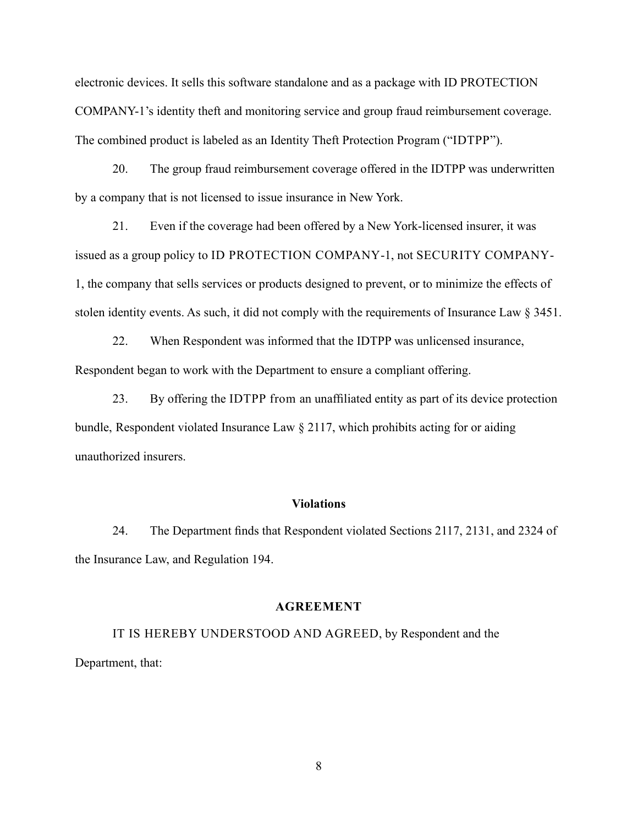electronic devices. It sells this software standalone and as a package with ID PROTECTION COMPANY-1's identity theft and monitoring service and group fraud reimbursement coverage. The combined product is labeled as an Identity Theft Protection Program ("IDTPP").

20. The group fraud reimbursement coverage offered in the IDTPP was underwritten by a company that is not licensed to issue insurance in New York.

 stolen identity events. As such, it did not comply with the requirements of Insurance Law § 3451. 21. Even if the coverage had been offered by a New York-licensed insurer, it was issued as a group policy to ID PROTECTION COMPANY-1, not SECURITY COMPANY-1, the company that sells services or products designed to prevent, or to minimize the effects of

22. When Respondent was informed that the IDTPP was unlicensed insurance, Respondent began to work with the Department to ensure a compliant offering.

 23. By offering the IDTPP from an unaffiliated entity as part of its device protection bundle, Respondent violated Insurance Law § 2117, which prohibits acting for or aiding unauthorized insurers.

#### **Violations**

 24. The Department finds that Respondent violated Sections 2117, 2131, and 2324 of the Insurance Law, and Regulation 194.

#### **AGREEMENT**

IT IS HEREBY UNDERSTOOD AND AGREED, by Respondent and the Department, that: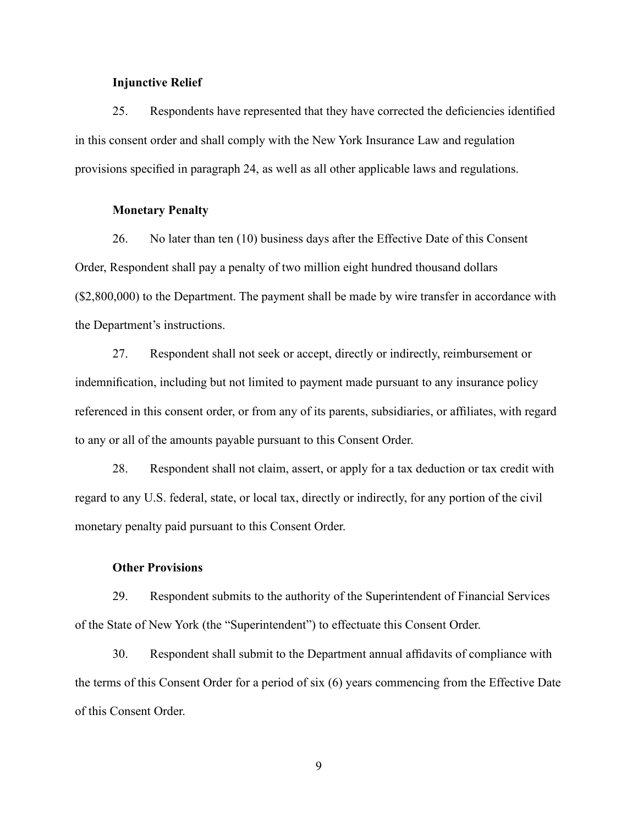#### **Injunctive Relief**

 provisions specified in paragraph 24, as well as all other applicable laws and regulations. 25. Respondents have represented that they have corrected the deficiencies identified in this consent order and shall comply with the New York Insurance Law and regulation

#### **Monetary Penalty**

 Order, Respondent shall pay a penalty of two million eight hundred thousand dollars 26. No later than ten (10) business days after the Effective Date of this Consent (\$2,800,000) to the Department. The payment shall be made by wire transfer in accordance with the Department's instructions.

 27. Respondent shall not seek or accept, directly or indirectly, reimbursement or indemnification, including but not limited to payment made pursuant to any insurance policy referenced in this consent order, or from any of its parents, subsidiaries, or affiliates, with regard to any or all of the amounts payable pursuant to this Consent Order.

28. Respondent shall not claim, assert, or apply for a tax deduction or tax credit with regard to any U.S. federal, state, or local tax, directly or indirectly, for any portion of the civil monetary penalty paid pursuant to this Consent Order.

### **Other Provisions**

 of the State of New York (the "Superintendent") to effectuate this Consent Order. 29. Respondent submits to the authority of the Superintendent of Financial Services

 the terms of this Consent Order for a period of six (6) years commencing from the Effective Date 30. Respondent shall submit to the Department annual affidavits of compliance with of this Consent Order.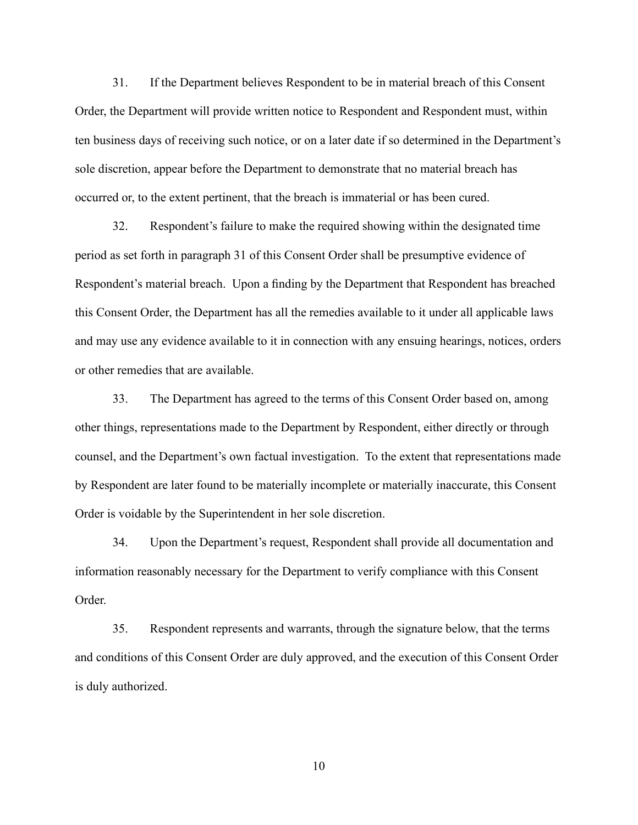<span id="page-9-0"></span>31. If the Department believes Respondent to be in material breach of this Consent Order, the Department will provide written notice to Respondent and Respondent must, within ten business days of receiving such notice, or on a later date if so determined in the Department's sole discretion, appear before the Department to demonstrate that no material breach has occurred or, to the extent pertinent, that the breach is immaterial or has been cured.

32. Respondent's failure to make the required showing within the designated time period as set forth in paragraph [31](#page-9-0) of this Consent Order shall be presumptive evidence of Respondent's material breach. Upon a finding by the Department that Respondent has breached this Consent Order, the Department has all the remedies available to it under all applicable laws and may use any evidence available to it in connection with any ensuing hearings, notices, orders or other remedies that are available.

33. The Department has agreed to the terms of this Consent Order based on, among other things, representations made to the Department by Respondent, either directly or through counsel, and the Department's own factual investigation. To the extent that representations made by Respondent are later found to be materially incomplete or materially inaccurate, this Consent Order is voidable by the Superintendent in her sole discretion.

34. Upon the Department's request, Respondent shall provide all documentation and information reasonably necessary for the Department to verify compliance with this Consent Order.

35. Respondent represents and warrants, through the signature below, that the terms and conditions of this Consent Order are duly approved, and the execution of this Consent Order is duly authorized.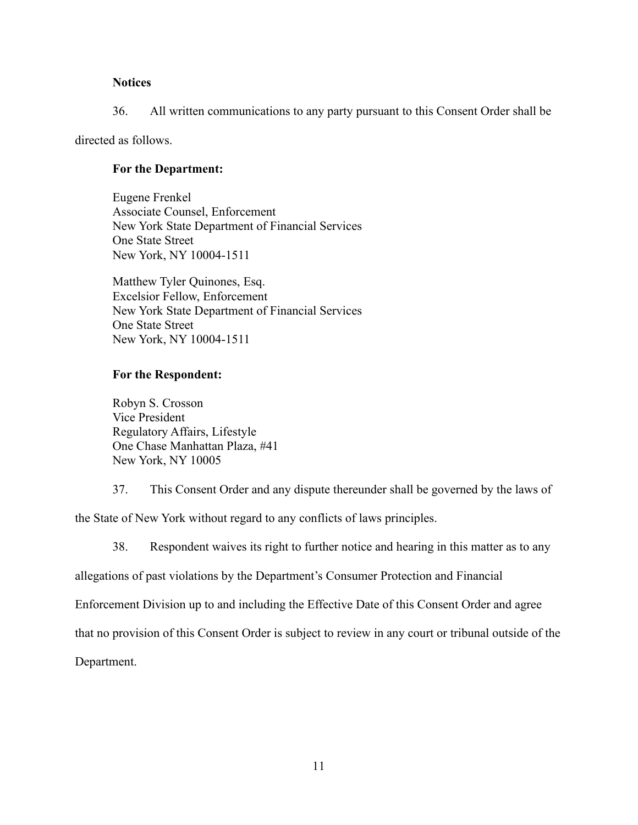# **Notices**

36. All written communications to any party pursuant to this Consent Order shall be

directed as follows.

## **For the Department:**

 New York, NY 10004-1511 Eugene Frenkel Associate Counsel, Enforcement New York State Department of Financial Services One State Street

Matthew Tyler Quinones, Esq. Excelsior Fellow, Enforcement New York State Department of Financial Services One State Street New York, NY 10004-1511

# **For the Respondent:**

Robyn S. Crosson Vice President Regulatory Affairs, Lifestyle One Chase Manhattan Plaza, #41 New York, NY 10005

37. This Consent Order and any dispute thereunder shall be governed by the laws of

the State of New York without regard to any conflicts of laws principles.

38. Respondent waives its right to further notice and hearing in this matter as to any

allegations of past violations by the Department's Consumer Protection and Financial

Enforcement Division up to and including the Effective Date of this Consent Order and agree

that no provision of this Consent Order is subject to review in any court or tribunal outside of the

Department.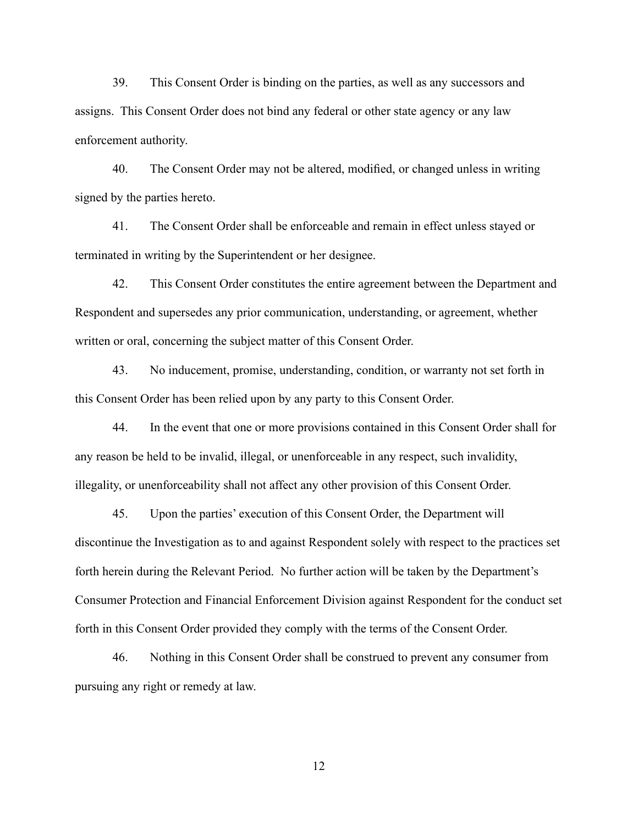39. This Consent Order is binding on the parties, as well as any successors and assigns. This Consent Order does not bind any federal or other state agency or any law enforcement authority.

40. The Consent Order may not be altered, modified, or changed unless in writing signed by the parties hereto.

 terminated in writing by the Superintendent or her designee. 41. The Consent Order shall be enforceable and remain in effect unless stayed or

42. This Consent Order constitutes the entire agreement between the Department and Respondent and supersedes any prior communication, understanding, or agreement, whether written or oral, concerning the subject matter of this Consent Order.

43. No inducement, promise, understanding, condition, or warranty not set forth in this Consent Order has been relied upon by any party to this Consent Order.

44. In the event that one or more provisions contained in this Consent Order shall for any reason be held to be invalid, illegal, or unenforceable in any respect, such invalidity, illegality, or unenforceability shall not affect any other provision of this Consent Order.

45. Upon the parties' execution of this Consent Order, the Department will discontinue the Investigation as to and against Respondent solely with respect to the practices set forth herein during the Relevant Period. No further action will be taken by the Department's Consumer Protection and Financial Enforcement Division against Respondent for the conduct set forth in this Consent Order provided they comply with the terms of the Consent Order.

 46. Nothing in this Consent Order shall be construed to prevent any consumer from pursuing any right or remedy at law.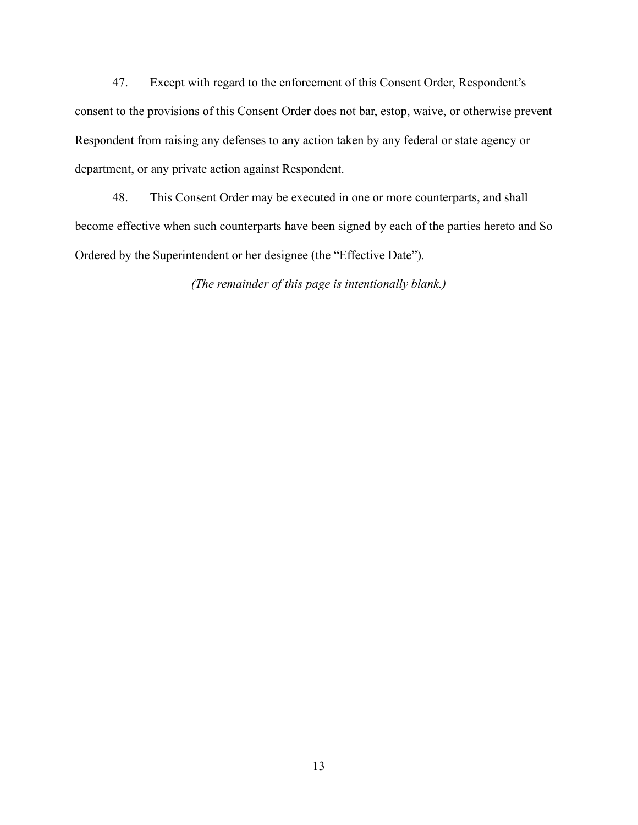47. Except with regard to the enforcement of this Consent Order, Respondent's consent to the provisions of this Consent Order does not bar, estop, waive, or otherwise prevent Respondent from raising any defenses to any action taken by any federal or state agency or department, or any private action against Respondent.

48. This Consent Order may be executed in one or more counterparts, and shall become effective when such counterparts have been signed by each of the parties hereto and So Ordered by the Superintendent or her designee (the "Effective Date").

*(The remainder of this page is intentionally blank.)*